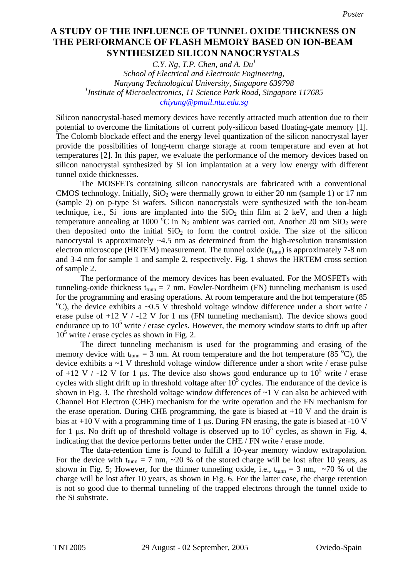## THE PERFORMANCE OF FLASH MEMORY BASED ON ION-BEAM **based on ion-beam synthesized silicon nanocrystals SYNTHESIZED SILICON NANOCRYSTALS A STUDY OF THE INFLUENCE OF TUNNEL OXIDE THICKNESS ON**

*C.Y. Ng, T.P. Chen, and A. Du<sup>1</sup> School of Electrical and Electronic Engineering, Nanyang Technological University, Singapore 639798*  <sup>1</sup> Institute of Microelectronics, 11 Science Park Road, Singapore 117685 *chiyung@pmail.ntu.edu.sg*

Silicon nanocrystal-based memory devices have recently attracted much attention due to their potential to overcome the limitations of current poly-silicon based floating-gate memory [1]. The Colomb blockade effect and the energy level quantization of the silicon nanocrystal layer provide the possibilities of long-term charge storage at room temperature and even at hot temperatures [2]. In this paper, we evaluate the performance of the memory devices based on silicon nanocrystal synthesized by Si ion implantation at a very low energy with different tunnel oxide thicknesses.

The MOSFETs containing silicon nanocrystals are fabricated with a conventional CMOS technology. Initially,  $SiO<sub>2</sub>$  were thermally grown to either 20 nm (sample 1) or 17 nm (sample 2) on p-type Si wafers. Silicon nanocrystals were synthesized with the ion-beam technique, i.e.,  $Si<sup>+</sup>$  ions are implanted into the  $SiO<sub>2</sub>$  thin film at 2 keV, and then a high temperature annealing at 1000 °C in N<sub>2</sub> ambient was carried out. Another 20 nm SiO<sub>2</sub> were then deposited onto the initial  $SiO<sub>2</sub>$  to form the control oxide. The size of the silicon nanocrystal is approximately ~4.5 nm as determined from the high-resolution transmission electron microscope (HRTEM) measurement. The tunnel oxide  $(t_{tunn})$  is approximately 7-8 nm and 3-4 nm for sample 1 and sample 2, respectively. Fig. 1 shows the HRTEM cross section of sample 2.

The performance of the memory devices has been evaluated. For the MOSFETs with tunneling-oxide thickness  $t_{\text{tunn}} = 7$  nm, Fowler-Nordheim (FN) tunneling mechanism is used for the programming and erasing operations. At room temperature and the hot temperature (85  $^{\circ}$ C), the device exhibits a ~0.5 V threshold voltage window difference under a short write / erase pulse of  $+12$  V  $/$  -12 V for 1 ms (FN tunneling mechanism). The device shows good endurance up to  $10^5$  write / erase cycles. However, the memory window starts to drift up after  $10^5$  write / erase cycles as shown in Fig. 2.

The direct tunneling mechanism is used for the programming and erasing of the memory device with  $t_{\text{tunn}} = 3$  nm. At room temperature and the hot temperature (85<sup>°</sup>C), the device exhibits a ~1 V threshold voltage window difference under a short write / erase pulse of +12 V / -12 V for 1 µs. The device also shows good endurance up to  $10^5$  write / erase cycles with slight drift up in threshold voltage after  $10^5$  cycles. The endurance of the device is shown in Fig. 3. The threshold voltage window differences of  $\sim$  1 V can also be achieved with Channel Hot Electron (CHE) mechanism for the write operation and the FN mechanism for the erase operation. During CHE programming, the gate is biased at  $+10$  V and the drain is bias at  $+10$  V with a programming time of 1  $\mu$ s. During FN erasing, the gate is biased at  $-10$  V for 1  $\mu$ s. No drift up of threshold voltage is observed up to 10<sup>5</sup> cycles, as shown in Fig. 4, indicating that the device performs better under the CHE / FN write / erase mode.

The data-retention time is found to fulfill a 10-year memory window extrapolation. For the device with  $t_{tunn} = 7$  nm,  $\sim$  20 % of the stored charge will be lost after 10 years, as shown in Fig. 5; However, for the thinner tunneling oxide, i.e.,  $t_{tunn} = 3$  nm, ~70 % of the charge will be lost after 10 years, as shown in Fig. 6. For the latter case, the charge retention is not so good due to thermal tunneling of the trapped electrons through the tunnel oxide to the Si substrate.